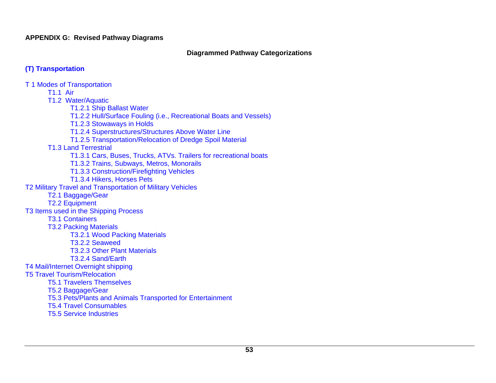**APPENDIX G: Revised Pathway Diagrams** 

#### **Diagrammed Pathway Categorizations**

# **(T) Transportation**

T 1 Modes of Transportation T1.1 Air T1.2 Water/Aquatic T1.2.1 Ship Ballast Water T1.2.2 Hull/Surface Fouling (i.e., Recreational Boats and Vessels) T1.2.3 Stowaways in Holds T1.2.4 Superstructures/Structures Above Water Line T1.2.5 Transportation/Relocation of Dredge Spoil Material T1.3 Land Terrestrial T1.3.1 Cars, Buses, Trucks, ATVs. Trailers for recreational boats T1.3.2 Trains, Subways, Metros, Monorails T1.3.3 Construction/Firefighting Vehicles T1.3.4 Hikers, Horses Pets T2 Military Travel and Transportation of Military Vehicles T2.1 Baggage/Gear T2.2 Equipment T3 Items used in the Shipping Process T3.1 Containers T3.2 Packing Materials T3.2.1 Wood Packing Materials T3.2.2 Seaweed T3.2.3 Other Plant Materials T3.2.4 Sand/Earth T4 Mail/Internet Overnight shipping T5 Travel Tourism/Relocation T5.1 Travelers Themselves T5.2 Baggage/Gear T5.3 Pets/Plants and Animals Transported for Entertainment T5.4 Travel Consumables T5.5 Service Industries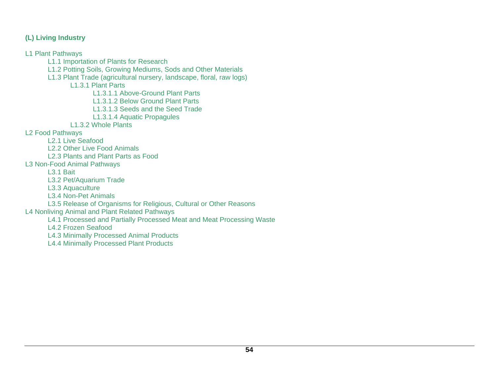### **(L) Living Industry**

L1 Plant Pathways

- L1.1 Importation of Plants for Research
- L1.2 Potting Soils, Growing Mediums, Sods and Other Materials
- L1.3 Plant Trade (agricultural nursery, landscape, floral, raw logs)

L1.3.1 Plant Parts

L1.3.1.1 Above-Ground Plant Parts

L1.3.1.2 Below Ground Plant Parts

L1.3.1.3 Seeds and the Seed Trade

L1.3.1.4 Aquatic Propagules

L1.3.2 Whole Plants

L2 Food Pathways

- L2.1 Live Seafood
- L2.2 Other Live Food Animals
- L2.3 Plants and Plant Parts as Food
- L3 Non-Food Animal Pathways

L3.1 Bait

L3.2 Pet/Aquarium Trade

L3.3 Aquaculture

- L3.4 Non-Pet Animals
- L3.5 Release of Organisms for Religious, Cultural or Other Reasons

# L4 Nonliving Animal and Plant Related Pathways

L4.1 Processed and Partially Processed Meat and Meat Processing Waste

L4.2 Frozen Seafood

L4.3 Minimally Processed Animal Products

L4.4 Minimally Processed Plant Products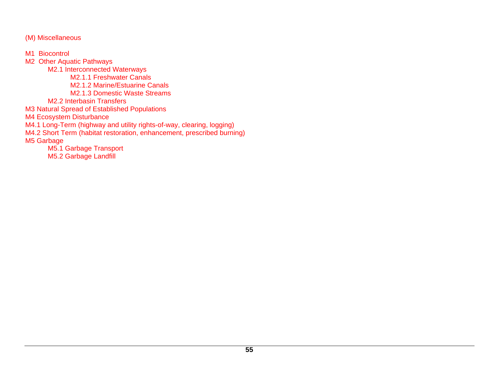(M) Miscellaneous

M<sub>1</sub> Biocontrol M2 Other Aquatic Pathways M2.1 Interconnected Waterways M2.1.1 Freshwater Canals M2.1.2 Marine/Estuarine Canals M2.1.3 Domestic Waste Streams M2.2 Interbasin Transfers M3 Natural Spread of Established Populations M4 Ecosystem Disturbance M4.1 Long-Term (highway and utility rights-of-way, clearing, logging) M4.2 Short Term (habitat restoration, enhancement, prescribed burning) M5 Garbage M5.1 Garbage Transport M5.2 Garbage Landfill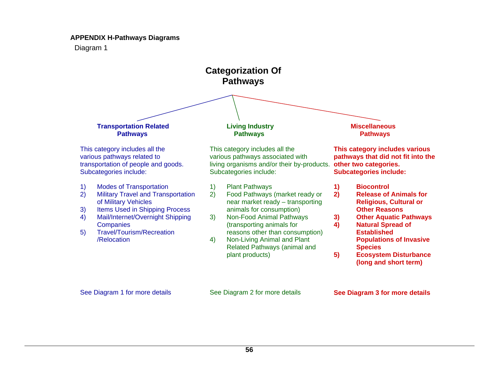#### **APPENDIX H-Pathways Diagrams**

Diagram 1



See Diagram 1 for more details See Diagram 2 for more details

**See Diagram 3 for more details**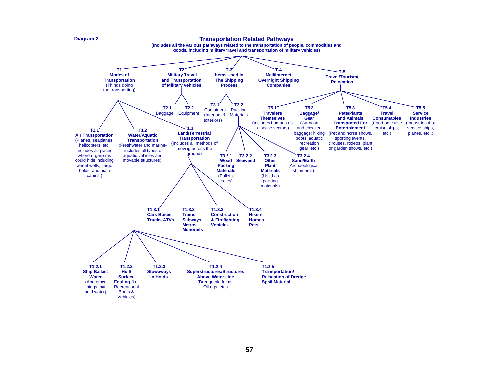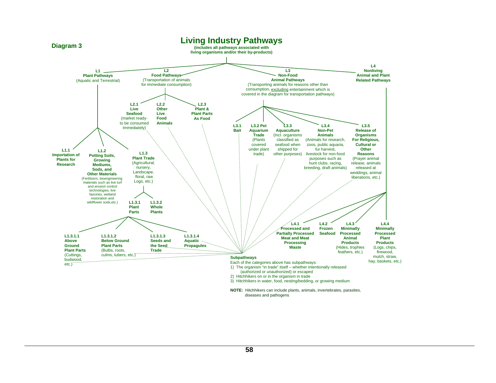